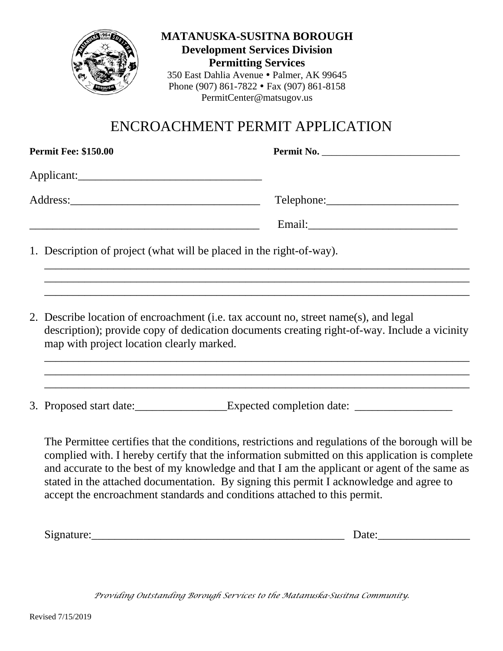

**MATANUSKA-SUSITNA BOROUGH Development Services Division Permitting Services** 350 East Dahlia Avenue · Palmer, AK 99645 Phone (907) 861-7822 Fax (907) 861-8158 PermitCenter@matsugov.us

# ENCROACHMENT PERMIT APPLICATION

|  | <b>Permit Fee: \$150.00</b>                                                                                                                                                                                                       | Permit No.                                                                                                                                                                                                |  |
|--|-----------------------------------------------------------------------------------------------------------------------------------------------------------------------------------------------------------------------------------|-----------------------------------------------------------------------------------------------------------------------------------------------------------------------------------------------------------|--|
|  | Applicant:                                                                                                                                                                                                                        |                                                                                                                                                                                                           |  |
|  |                                                                                                                                                                                                                                   |                                                                                                                                                                                                           |  |
|  |                                                                                                                                                                                                                                   |                                                                                                                                                                                                           |  |
|  | 1. Description of project (what will be placed in the right-of-way).                                                                                                                                                              |                                                                                                                                                                                                           |  |
|  | 2. Describe location of encroachment (i.e. tax account no, street name(s), and legal<br>description); provide copy of dedication documents creating right-of-way. Include a vicinity<br>map with project location clearly marked. |                                                                                                                                                                                                           |  |
|  |                                                                                                                                                                                                                                   | <u> 1980 - An Dùbhlachd ann an Dùbhlachd ann an Dùbhlachd ann an Dùbhlachd ann an Dùbhlachd ann an Dùbhlachd ann </u><br>3. Proposed start date: Expected completion date: ______________________________ |  |
|  |                                                                                                                                                                                                                                   | The Permittee certifies that the conditions restrictions and regulations of the borough will be                                                                                                           |  |

The Permittee certifies that the conditions, restrictions and regulations of the borough will be complied with. I hereby certify that the information submitted on this application is complete and accurate to the best of my knowledge and that I am the applicant or agent of the same as stated in the attached documentation. By signing this permit I acknowledge and agree to accept the encroachment standards and conditions attached to this permit.

| $\sim$<br>. .<br>$\sim$<br>. | -<br>. |
|------------------------------|--------|
|                              |        |

*Providing Outstanding Borough Services to the Matanuska-Susitna Community.*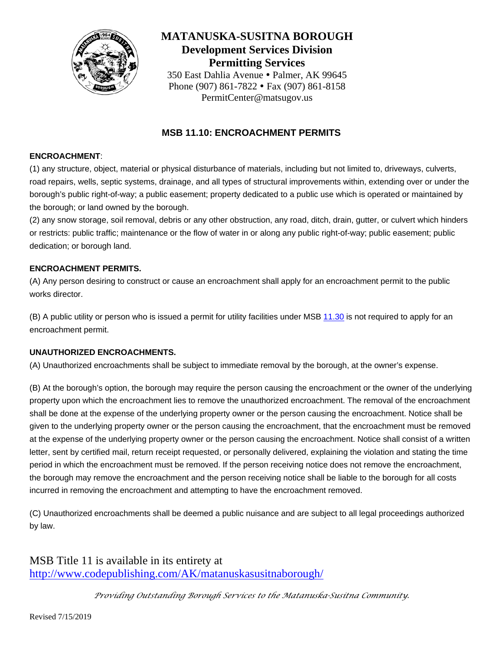

### **MATANUSKA-SUSITNA BOROUGH Development Services Division Permitting Services** 350 East Dahlia Avenue · Palmer, AK 99645 Phone (907) 861-7822 • Fax (907) 861-8158

PermitCenter@matsugov.us

### **MSB 11.10: ENCROACHMENT PERMITS**

#### **ENCROACHMENT**:

(1) any structure, object, material or physical disturbance of materials, including but not limited to, driveways, culverts, road repairs, wells, septic systems, drainage, and all types of structural improvements within, extending over or under the borough's public right-of-way; a public easement; property dedicated to a public use which is operated or maintained by the borough; or land owned by the borough.

(2) any snow storage, soil removal, debris or any other obstruction, any road, ditch, drain, gutter, or culvert which hinders or restricts: public traffic; maintenance or the flow of water in or along any public right-of-way; public easement; public dedication; or borough land.

#### **ENCROACHMENT PERMITS.**

(A) Any person desiring to construct or cause an encroachment shall apply for an encroachment permit to the public works director.

(B) A public utility or person who is issued a permit for utility facilities under MSB [11.30](http://www.codepublishing.com/AK/matanuskasusitnaborough/html/MatanuskaSusitnaBorough11/MatanuskaSusitnaBorough1130.html#11.30) is not required to apply for an encroachment permit.

#### **UNAUTHORIZED ENCROACHMENTS.**

(A) Unauthorized encroachments shall be subject to immediate removal by the borough, at the owner's expense.

(B) At the borough's option, the borough may require the person causing the encroachment or the owner of the underlying property upon which the encroachment lies to remove the unauthorized encroachment. The removal of the encroachment shall be done at the expense of the underlying property owner or the person causing the encroachment. Notice shall be given to the underlying property owner or the person causing the encroachment, that the encroachment must be removed at the expense of the underlying property owner or the person causing the encroachment. Notice shall consist of a written letter, sent by certified mail, return receipt requested, or personally delivered, explaining the violation and stating the time period in which the encroachment must be removed. If the person receiving notice does not remove the encroachment, the borough may remove the encroachment and the person receiving notice shall be liable to the borough for all costs incurred in removing the encroachment and attempting to have the encroachment removed.

(C) Unauthorized encroachments shall be deemed a public nuisance and are subject to all legal proceedings authorized by law.

MSB Title 11 is available in its entirety at <http://www.codepublishing.com/AK/matanuskasusitnaborough/>

*Providing Outstanding Borough Services to the Matanuska-Susitna Community.*